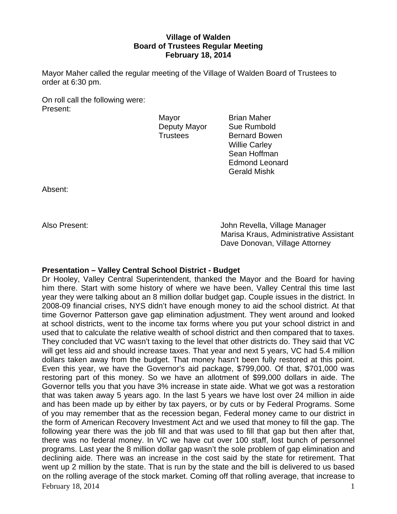# **Village of Walden Board of Trustees Regular Meeting February 18, 2014**

Mayor Maher called the regular meeting of the Village of Walden Board of Trustees to order at 6:30 pm.

On roll call the following were: Present:

Mayor **Brian Maher** Deputy Mayor Sue Rumbold

Trustees Bernard Bowen Willie Carley Sean Hoffman Edmond Leonard Gerald Mishk

Absent:

Also Present: John Revella, Village Manager Marisa Kraus, Administrative Assistant Dave Donovan, Village Attorney

# **Presentation – Valley Central School District - Budget**

February 18, 2014  $\frac{1}{2}$ Dr Hooley, Valley Central Superintendent, thanked the Mayor and the Board for having him there. Start with some history of where we have been, Valley Central this time last year they were talking about an 8 million dollar budget gap. Couple issues in the district. In 2008-09 financial crises, NYS didn't have enough money to aid the school district. At that time Governor Patterson gave gap elimination adjustment. They went around and looked at school districts, went to the income tax forms where you put your school district in and used that to calculate the relative wealth of school district and then compared that to taxes. They concluded that VC wasn't taxing to the level that other districts do. They said that VC will get less aid and should increase taxes. That year and next 5 years, VC had 5.4 million dollars taken away from the budget. That money hasn't been fully restored at this point. Even this year, we have the Governor's aid package, \$799,000. Of that, \$701,000 was restoring part of this money. So we have an allotment of \$99,000 dollars in aide. The Governor tells you that you have 3% increase in state aide. What we got was a restoration that was taken away 5 years ago. In the last 5 years we have lost over 24 million in aide and has been made up by either by tax payers, or by cuts or by Federal Programs. Some of you may remember that as the recession began, Federal money came to our district in the form of American Recovery Investment Act and we used that money to fill the gap. The following year there was the job fill and that was used to fill that gap but then after that, there was no federal money. In VC we have cut over 100 staff, lost bunch of personnel programs. Last year the 8 million dollar gap wasn't the sole problem of gap elimination and declining aide. There was an increase in the cost said by the state for retirement. That went up 2 million by the state. That is run by the state and the bill is delivered to us based on the rolling average of the stock market. Coming off that rolling average, that increase to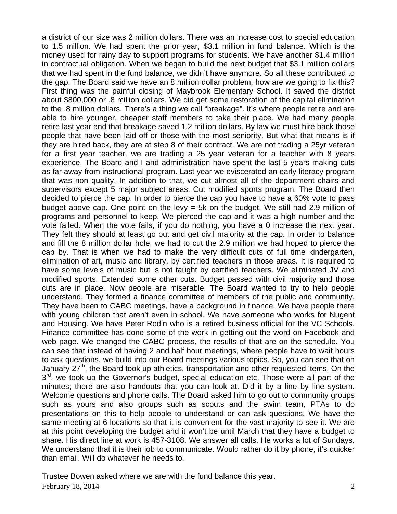a district of our size was 2 million dollars. There was an increase cost to special education to 1.5 million. We had spent the prior year, \$3.1 million in fund balance. Which is the money used for rainy day to support programs for students. We have another \$1.4 million in contractual obligation. When we began to build the next budget that \$3.1 million dollars that we had spent in the fund balance, we didn't have anymore. So all these contributed to the gap. The Board said we have an 8 million dollar problem, how are we going to fix this? First thing was the painful closing of Maybrook Elementary School. It saved the district about \$800,000 or .8 million dollars. We did get some restoration of the capital elimination to the .8 million dollars. There's a thing we call "breakage". It's where people retire and are able to hire younger, cheaper staff members to take their place. We had many people retire last year and that breakage saved 1.2 million dollars. By law we must hire back those people that have been laid off or those with the most seniority. But what that means is if they are hired back, they are at step 8 of their contract. We are not trading a 25yr veteran for a first year teacher, we are trading a 25 year veteran for a teacher with 8 years experience. The Board and I and administration have spent the last 5 years making cuts as far away from instructional program. Last year we eviscerated an early literacy program that was non quality. In addition to that, we cut almost all of the department chairs and supervisors except 5 major subject areas. Cut modified sports program. The Board then decided to pierce the cap. In order to pierce the cap you have to have a 60% vote to pass budget above cap. One point on the levy  $=$  5k on the budget. We still had 2.9 million of programs and personnel to keep. We pierced the cap and it was a high number and the vote failed. When the vote fails, if you do nothing, you have a 0 increase the next year. They felt they should at least go out and get civil majority at the cap. In order to balance and fill the 8 million dollar hole, we had to cut the 2.9 million we had hoped to pierce the cap by. That is when we had to make the very difficult cuts of full time kindergarten, elimination of art, music and library, by certified teachers in those areas. It is required to have some levels of music but is not taught by certified teachers. We eliminated JV and modified sports. Extended some other cuts. Budget passed with civil majority and those cuts are in place. Now people are miserable. The Board wanted to try to help people understand. They formed a finance committee of members of the public and community. They have been to CABC meetings, have a background in finance. We have people there with young children that aren't even in school. We have someone who works for Nugent and Housing. We have Peter Rodin who is a retired business official for the VC Schools. Finance committee has done some of the work in getting out the word on Facebook and web page. We changed the CABC process, the results of that are on the schedule. You can see that instead of having 2 and half hour meetings, where people have to wait hours to ask questions, we build into our Board meetings various topics. So, you can see that on January 27<sup>th</sup>, the Board took up athletics, transportation and other requested items. On the 3<sup>rd</sup>, we took up the Governor's budget, special education etc. Those were all part of the minutes; there are also handouts that you can look at. Did it by a line by line system. Welcome questions and phone calls. The Board asked him to go out to community groups such as yours and also groups such as scouts and the swim team, PTAs to do presentations on this to help people to understand or can ask questions. We have the same meeting at 6 locations so that it is convenient for the vast majority to see it. We are at this point developing the budget and it won't be until March that they have a budget to share. His direct line at work is 457-3108. We answer all calls. He works a lot of Sundays. We understand that it is their job to communicate. Would rather do it by phone, it's quicker than email. Will do whatever he needs to.

February 18, 2014 2 Trustee Bowen asked where we are with the fund balance this year.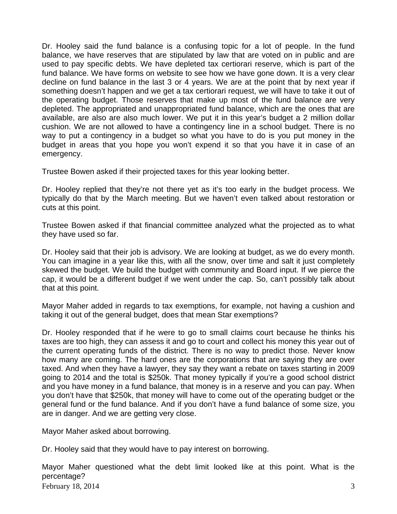Dr. Hooley said the fund balance is a confusing topic for a lot of people. In the fund balance, we have reserves that are stipulated by law that are voted on in public and are used to pay specific debts. We have depleted tax certiorari reserve, which is part of the fund balance. We have forms on website to see how we have gone down. It is a very clear decline on fund balance in the last 3 or 4 years. We are at the point that by next year if something doesn't happen and we get a tax certiorari request, we will have to take it out of the operating budget. Those reserves that make up most of the fund balance are very depleted. The appropriated and unappropriated fund balance, which are the ones that are available, are also are also much lower. We put it in this year's budget a 2 million dollar cushion. We are not allowed to have a contingency line in a school budget. There is no way to put a contingency in a budget so what you have to do is you put money in the budget in areas that you hope you won't expend it so that you have it in case of an emergency.

Trustee Bowen asked if their projected taxes for this year looking better.

Dr. Hooley replied that they're not there yet as it's too early in the budget process. We typically do that by the March meeting. But we haven't even talked about restoration or cuts at this point.

Trustee Bowen asked if that financial committee analyzed what the projected as to what they have used so far.

Dr. Hooley said that their job is advisory. We are looking at budget, as we do every month. You can imagine in a year like this, with all the snow, over time and salt it just completely skewed the budget. We build the budget with community and Board input. If we pierce the cap, it would be a different budget if we went under the cap. So, can't possibly talk about that at this point.

Mayor Maher added in regards to tax exemptions, for example, not having a cushion and taking it out of the general budget, does that mean Star exemptions?

Dr. Hooley responded that if he were to go to small claims court because he thinks his taxes are too high, they can assess it and go to court and collect his money this year out of the current operating funds of the district. There is no way to predict those. Never know how many are coming. The hard ones are the corporations that are saying they are over taxed. And when they have a lawyer, they say they want a rebate on taxes starting in 2009 going to 2014 and the total is \$250k. That money typically if you're a good school district and you have money in a fund balance, that money is in a reserve and you can pay. When you don't have that \$250k, that money will have to come out of the operating budget or the general fund or the fund balance. And if you don't have a fund balance of some size, you are in danger. And we are getting very close.

Mayor Maher asked about borrowing.

Dr. Hooley said that they would have to pay interest on borrowing.

February 18, 2014  $\overline{3}$ Mayor Maher questioned what the debt limit looked like at this point. What is the percentage?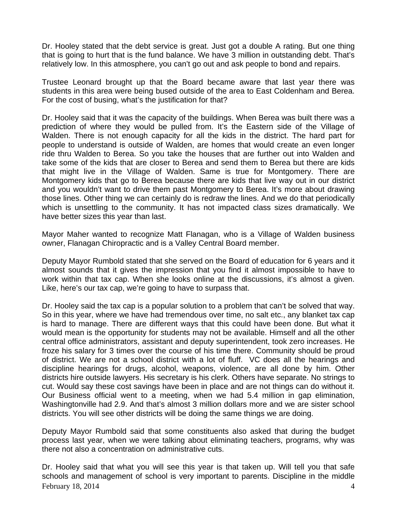Dr. Hooley stated that the debt service is great. Just got a double A rating. But one thing that is going to hurt that is the fund balance. We have 3 million in outstanding debt. That's relatively low. In this atmosphere, you can't go out and ask people to bond and repairs.

Trustee Leonard brought up that the Board became aware that last year there was students in this area were being bused outside of the area to East Coldenham and Berea. For the cost of busing, what's the justification for that?

Dr. Hooley said that it was the capacity of the buildings. When Berea was built there was a prediction of where they would be pulled from. It's the Eastern side of the Village of Walden. There is not enough capacity for all the kids in the district. The hard part for people to understand is outside of Walden, are homes that would create an even longer ride thru Walden to Berea. So you take the houses that are further out into Walden and take some of the kids that are closer to Berea and send them to Berea but there are kids that might live in the Village of Walden. Same is true for Montgomery. There are Montgomery kids that go to Berea because there are kids that live way out in our district and you wouldn't want to drive them past Montgomery to Berea. It's more about drawing those lines. Other thing we can certainly do is redraw the lines. And we do that periodically which is unsettling to the community. It has not impacted class sizes dramatically. We have better sizes this year than last.

Mayor Maher wanted to recognize Matt Flanagan, who is a Village of Walden business owner, Flanagan Chiropractic and is a Valley Central Board member.

Deputy Mayor Rumbold stated that she served on the Board of education for 6 years and it almost sounds that it gives the impression that you find it almost impossible to have to work within that tax cap. When she looks online at the discussions, it's almost a given. Like, here's our tax cap, we're going to have to surpass that.

Dr. Hooley said the tax cap is a popular solution to a problem that can't be solved that way. So in this year, where we have had tremendous over time, no salt etc., any blanket tax cap is hard to manage. There are different ways that this could have been done. But what it would mean is the opportunity for students may not be available. Himself and all the other central office administrators, assistant and deputy superintendent, took zero increases. He froze his salary for 3 times over the course of his time there. Community should be proud of district. We are not a school district with a lot of fluff. VC does all the hearings and discipline hearings for drugs, alcohol, weapons, violence, are all done by him. Other districts hire outside lawyers. His secretary is his clerk. Others have separate. No strings to cut. Would say these cost savings have been in place and are not things can do without it. Our Business official went to a meeting, when we had 5.4 million in gap elimination, Washingtonville had 2.9. And that's almost 3 million dollars more and we are sister school districts. You will see other districts will be doing the same things we are doing.

Deputy Mayor Rumbold said that some constituents also asked that during the budget process last year, when we were talking about eliminating teachers, programs, why was there not also a concentration on administrative cuts.

February 18, 2014  $\overline{4}$ Dr. Hooley said that what you will see this year is that taken up. Will tell you that safe schools and management of school is very important to parents. Discipline in the middle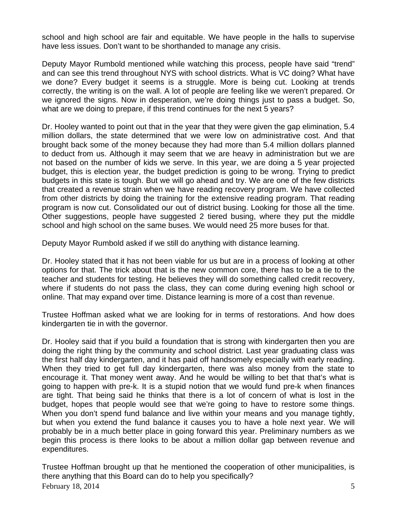school and high school are fair and equitable. We have people in the halls to supervise have less issues. Don't want to be shorthanded to manage any crisis.

Deputy Mayor Rumbold mentioned while watching this process, people have said "trend" and can see this trend throughout NYS with school districts. What is VC doing? What have we done? Every budget it seems is a struggle. More is being cut. Looking at trends correctly, the writing is on the wall. A lot of people are feeling like we weren't prepared. Or we ignored the signs. Now in desperation, we're doing things just to pass a budget. So, what are we doing to prepare, if this trend continues for the next 5 years?

Dr. Hooley wanted to point out that in the year that they were given the gap elimination, 5.4 million dollars, the state determined that we were low on administrative cost. And that brought back some of the money because they had more than 5.4 million dollars planned to deduct from us. Although it may seem that we are heavy in administration but we are not based on the number of kids we serve. In this year, we are doing a 5 year projected budget, this is election year, the budget prediction is going to be wrong. Trying to predict budgets in this state is tough. But we will go ahead and try. We are one of the few districts that created a revenue strain when we have reading recovery program. We have collected from other districts by doing the training for the extensive reading program. That reading program is now cut. Consolidated our out of district busing. Looking for those all the time. Other suggestions, people have suggested 2 tiered busing, where they put the middle school and high school on the same buses. We would need 25 more buses for that.

Deputy Mayor Rumbold asked if we still do anything with distance learning.

Dr. Hooley stated that it has not been viable for us but are in a process of looking at other options for that. The trick about that is the new common core, there has to be a tie to the teacher and students for testing. He believes they will do something called credit recovery, where if students do not pass the class, they can come during evening high school or online. That may expand over time. Distance learning is more of a cost than revenue.

Trustee Hoffman asked what we are looking for in terms of restorations. And how does kindergarten tie in with the governor.

Dr. Hooley said that if you build a foundation that is strong with kindergarten then you are doing the right thing by the community and school district. Last year graduating class was the first half day kindergarten, and it has paid off handsomely especially with early reading. When they tried to get full day kindergarten, there was also money from the state to encourage it. That money went away. And he would be willing to bet that that's what is going to happen with pre-k. It is a stupid notion that we would fund pre-k when finances are tight. That being said he thinks that there is a lot of concern of what is lost in the budget, hopes that people would see that we're going to have to restore some things. When you don't spend fund balance and live within your means and you manage tightly, but when you extend the fund balance it causes you to have a hole next year. We will probably be in a much better place in going forward this year. Preliminary numbers as we begin this process is there looks to be about a million dollar gap between revenue and expenditures.

February 18, 2014  $\overline{5}$ Trustee Hoffman brought up that he mentioned the cooperation of other municipalities, is there anything that this Board can do to help you specifically?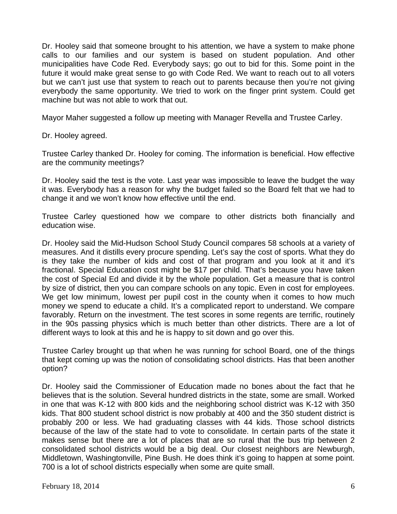Dr. Hooley said that someone brought to his attention, we have a system to make phone calls to our families and our system is based on student population. And other municipalities have Code Red. Everybody says; go out to bid for this. Some point in the future it would make great sense to go with Code Red. We want to reach out to all voters but we can't just use that system to reach out to parents because then you're not giving everybody the same opportunity. We tried to work on the finger print system. Could get machine but was not able to work that out.

Mayor Maher suggested a follow up meeting with Manager Revella and Trustee Carley.

Dr. Hooley agreed.

Trustee Carley thanked Dr. Hooley for coming. The information is beneficial. How effective are the community meetings?

Dr. Hooley said the test is the vote. Last year was impossible to leave the budget the way it was. Everybody has a reason for why the budget failed so the Board felt that we had to change it and we won't know how effective until the end.

Trustee Carley questioned how we compare to other districts both financially and education wise.

Dr. Hooley said the Mid-Hudson School Study Council compares 58 schools at a variety of measures. And it distills every procure spending. Let's say the cost of sports. What they do is they take the number of kids and cost of that program and you look at it and it's fractional. Special Education cost might be \$17 per child. That's because you have taken the cost of Special Ed and divide it by the whole population. Get a measure that is control by size of district, then you can compare schools on any topic. Even in cost for employees. We get low minimum, lowest per pupil cost in the county when it comes to how much money we spend to educate a child. It's a complicated report to understand. We compare favorably. Return on the investment. The test scores in some regents are terrific, routinely in the 90s passing physics which is much better than other districts. There are a lot of different ways to look at this and he is happy to sit down and go over this.

Trustee Carley brought up that when he was running for school Board, one of the things that kept coming up was the notion of consolidating school districts. Has that been another option?

Dr. Hooley said the Commissioner of Education made no bones about the fact that he believes that is the solution. Several hundred districts in the state, some are small. Worked in one that was K-12 with 800 kids and the neighboring school district was K-12 with 350 kids. That 800 student school district is now probably at 400 and the 350 student district is probably 200 or less. We had graduating classes with 44 kids. Those school districts because of the law of the state had to vote to consolidate. In certain parts of the state it makes sense but there are a lot of places that are so rural that the bus trip between 2 consolidated school districts would be a big deal. Our closest neighbors are Newburgh, Middletown, Washingtonville, Pine Bush. He does think it's going to happen at some point. 700 is a lot of school districts especially when some are quite small.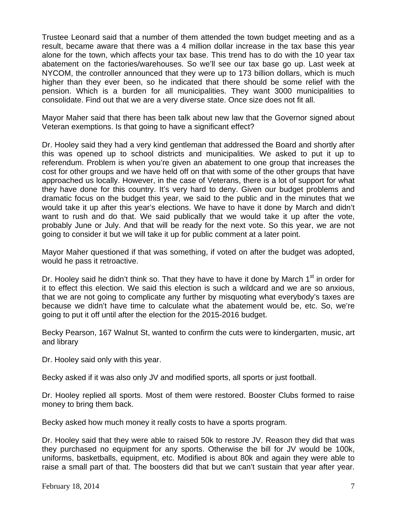Trustee Leonard said that a number of them attended the town budget meeting and as a result, became aware that there was a 4 million dollar increase in the tax base this year alone for the town, which affects your tax base. This trend has to do with the 10 year tax abatement on the factories/warehouses. So we'll see our tax base go up. Last week at NYCOM, the controller announced that they were up to 173 billion dollars, which is much higher than they ever been, so he indicated that there should be some relief with the pension. Which is a burden for all municipalities. They want 3000 municipalities to consolidate. Find out that we are a very diverse state. Once size does not fit all.

Mayor Maher said that there has been talk about new law that the Governor signed about Veteran exemptions. Is that going to have a significant effect?

Dr. Hooley said they had a very kind gentleman that addressed the Board and shortly after this was opened up to school districts and municipalities. We asked to put it up to referendum. Problem is when you're given an abatement to one group that increases the cost for other groups and we have held off on that with some of the other groups that have approached us locally. However, in the case of Veterans, there is a lot of support for what they have done for this country. It's very hard to deny. Given our budget problems and dramatic focus on the budget this year, we said to the public and in the minutes that we would take it up after this year's elections. We have to have it done by March and didn't want to rush and do that. We said publically that we would take it up after the vote, probably June or July. And that will be ready for the next vote. So this year, we are not going to consider it but we will take it up for public comment at a later point.

Mayor Maher questioned if that was something, if voted on after the budget was adopted, would he pass it retroactive.

Dr. Hooley said he didn't think so. That they have to have it done by March  $1<sup>st</sup>$  in order for it to effect this election. We said this election is such a wildcard and we are so anxious, that we are not going to complicate any further by misquoting what everybody's taxes are because we didn't have time to calculate what the abatement would be, etc. So, we're going to put it off until after the election for the 2015-2016 budget.

Becky Pearson, 167 Walnut St, wanted to confirm the cuts were to kindergarten, music, art and library

Dr. Hooley said only with this year.

Becky asked if it was also only JV and modified sports, all sports or just football.

Dr. Hooley replied all sports. Most of them were restored. Booster Clubs formed to raise money to bring them back.

Becky asked how much money it really costs to have a sports program.

Dr. Hooley said that they were able to raised 50k to restore JV. Reason they did that was they purchased no equipment for any sports. Otherwise the bill for JV would be 100k, uniforms, basketballs, equipment, etc. Modified is about 80k and again they were able to raise a small part of that. The boosters did that but we can't sustain that year after year.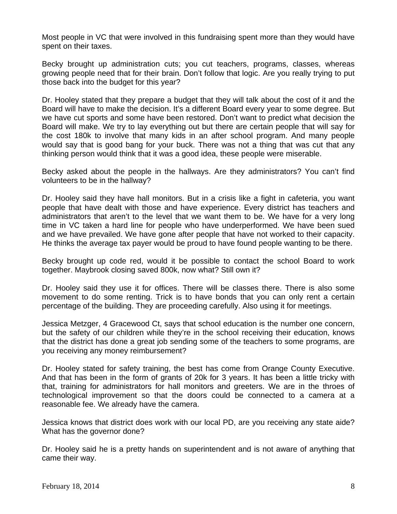Most people in VC that were involved in this fundraising spent more than they would have spent on their taxes.

Becky brought up administration cuts; you cut teachers, programs, classes, whereas growing people need that for their brain. Don't follow that logic. Are you really trying to put those back into the budget for this year?

Dr. Hooley stated that they prepare a budget that they will talk about the cost of it and the Board will have to make the decision. It's a different Board every year to some degree. But we have cut sports and some have been restored. Don't want to predict what decision the Board will make. We try to lay everything out but there are certain people that will say for the cost 180k to involve that many kids in an after school program. And many people would say that is good bang for your buck. There was not a thing that was cut that any thinking person would think that it was a good idea, these people were miserable.

Becky asked about the people in the hallways. Are they administrators? You can't find volunteers to be in the hallway?

Dr. Hooley said they have hall monitors. But in a crisis like a fight in cafeteria, you want people that have dealt with those and have experience. Every district has teachers and administrators that aren't to the level that we want them to be. We have for a very long time in VC taken a hard line for people who have underperformed. We have been sued and we have prevailed. We have gone after people that have not worked to their capacity. He thinks the average tax payer would be proud to have found people wanting to be there.

Becky brought up code red, would it be possible to contact the school Board to work together. Maybrook closing saved 800k, now what? Still own it?

Dr. Hooley said they use it for offices. There will be classes there. There is also some movement to do some renting. Trick is to have bonds that you can only rent a certain percentage of the building. They are proceeding carefully. Also using it for meetings.

Jessica Metzger, 4 Gracewood Ct, says that school education is the number one concern, but the safety of our children while they're in the school receiving their education, knows that the district has done a great job sending some of the teachers to some programs, are you receiving any money reimbursement?

Dr. Hooley stated for safety training, the best has come from Orange County Executive. And that has been in the form of grants of 20k for 3 years. It has been a little tricky with that, training for administrators for hall monitors and greeters. We are in the throes of technological improvement so that the doors could be connected to a camera at a reasonable fee. We already have the camera.

Jessica knows that district does work with our local PD, are you receiving any state aide? What has the governor done?

Dr. Hooley said he is a pretty hands on superintendent and is not aware of anything that came their way.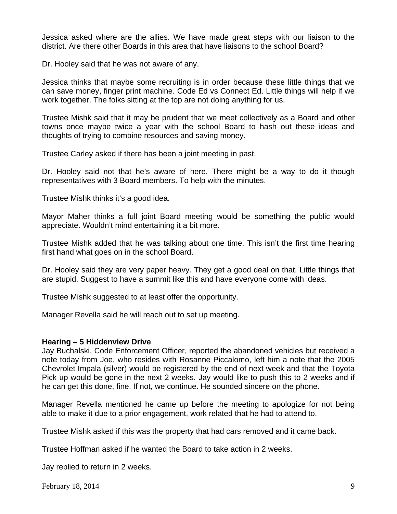Jessica asked where are the allies. We have made great steps with our liaison to the district. Are there other Boards in this area that have liaisons to the school Board?

Dr. Hooley said that he was not aware of any.

Jessica thinks that maybe some recruiting is in order because these little things that we can save money, finger print machine. Code Ed vs Connect Ed. Little things will help if we work together. The folks sitting at the top are not doing anything for us.

Trustee Mishk said that it may be prudent that we meet collectively as a Board and other towns once maybe twice a year with the school Board to hash out these ideas and thoughts of trying to combine resources and saving money.

Trustee Carley asked if there has been a joint meeting in past.

Dr. Hooley said not that he's aware of here. There might be a way to do it though representatives with 3 Board members. To help with the minutes.

Trustee Mishk thinks it's a good idea.

Mayor Maher thinks a full joint Board meeting would be something the public would appreciate. Wouldn't mind entertaining it a bit more.

Trustee Mishk added that he was talking about one time. This isn't the first time hearing first hand what goes on in the school Board.

Dr. Hooley said they are very paper heavy. They get a good deal on that. Little things that are stupid. Suggest to have a summit like this and have everyone come with ideas.

Trustee Mishk suggested to at least offer the opportunity.

Manager Revella said he will reach out to set up meeting.

### **Hearing – 5 Hiddenview Drive**

Jay Buchalski, Code Enforcement Officer, reported the abandoned vehicles but received a note today from Joe, who resides with Rosanne Piccalomo, left him a note that the 2005 Chevrolet Impala (silver) would be registered by the end of next week and that the Toyota Pick up would be gone in the next 2 weeks. Jay would like to push this to 2 weeks and if he can get this done, fine. If not, we continue. He sounded sincere on the phone.

Manager Revella mentioned he came up before the meeting to apologize for not being able to make it due to a prior engagement, work related that he had to attend to.

Trustee Mishk asked if this was the property that had cars removed and it came back.

Trustee Hoffman asked if he wanted the Board to take action in 2 weeks.

Jay replied to return in 2 weeks.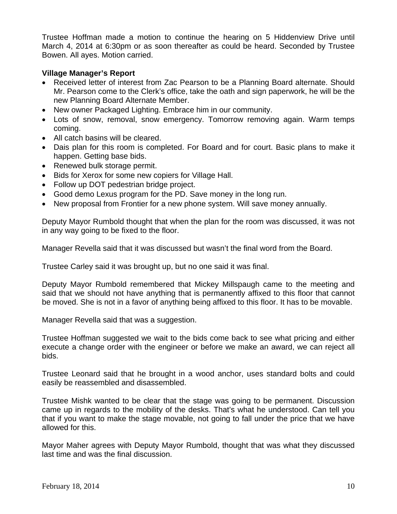Trustee Hoffman made a motion to continue the hearing on 5 Hiddenview Drive until March 4, 2014 at 6:30pm or as soon thereafter as could be heard. Seconded by Trustee Bowen. All ayes. Motion carried.

# **Village Manager's Report**

- Received letter of interest from Zac Pearson to be a Planning Board alternate. Should Mr. Pearson come to the Clerk's office, take the oath and sign paperwork, he will be the new Planning Board Alternate Member.
- New owner Packaged Lighting. Embrace him in our community.
- Lots of snow, removal, snow emergency. Tomorrow removing again. Warm temps coming.
- All catch basins will be cleared.
- Dais plan for this room is completed. For Board and for court. Basic plans to make it happen. Getting base bids.
- Renewed bulk storage permit.
- Bids for Xerox for some new copiers for Village Hall.
- Follow up DOT pedestrian bridge project.
- Good demo Lexus program for the PD. Save money in the long run.
- New proposal from Frontier for a new phone system. Will save money annually.

Deputy Mayor Rumbold thought that when the plan for the room was discussed, it was not in any way going to be fixed to the floor.

Manager Revella said that it was discussed but wasn't the final word from the Board.

Trustee Carley said it was brought up, but no one said it was final.

Deputy Mayor Rumbold remembered that Mickey Millspaugh came to the meeting and said that we should not have anything that is permanently affixed to this floor that cannot be moved. She is not in a favor of anything being affixed to this floor. It has to be movable.

Manager Revella said that was a suggestion.

Trustee Hoffman suggested we wait to the bids come back to see what pricing and either execute a change order with the engineer or before we make an award, we can reject all bids.

Trustee Leonard said that he brought in a wood anchor, uses standard bolts and could easily be reassembled and disassembled.

Trustee Mishk wanted to be clear that the stage was going to be permanent. Discussion came up in regards to the mobility of the desks. That's what he understood. Can tell you that if you want to make the stage movable, not going to fall under the price that we have allowed for this.

Mayor Maher agrees with Deputy Mayor Rumbold, thought that was what they discussed last time and was the final discussion.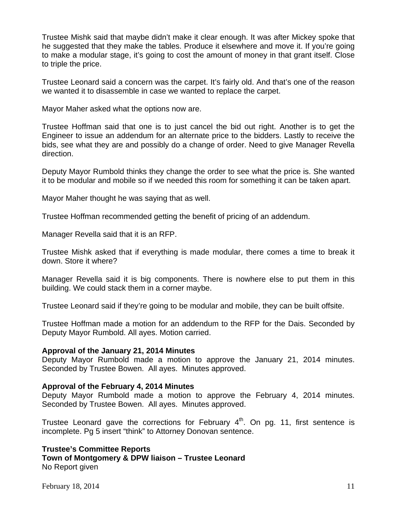Trustee Mishk said that maybe didn't make it clear enough. It was after Mickey spoke that he suggested that they make the tables. Produce it elsewhere and move it. If you're going to make a modular stage, it's going to cost the amount of money in that grant itself. Close to triple the price.

Trustee Leonard said a concern was the carpet. It's fairly old. And that's one of the reason we wanted it to disassemble in case we wanted to replace the carpet.

Mayor Maher asked what the options now are.

Trustee Hoffman said that one is to just cancel the bid out right. Another is to get the Engineer to issue an addendum for an alternate price to the bidders. Lastly to receive the bids, see what they are and possibly do a change of order. Need to give Manager Revella direction.

Deputy Mayor Rumbold thinks they change the order to see what the price is. She wanted it to be modular and mobile so if we needed this room for something it can be taken apart.

Mayor Maher thought he was saying that as well.

Trustee Hoffman recommended getting the benefit of pricing of an addendum.

Manager Revella said that it is an RFP.

Trustee Mishk asked that if everything is made modular, there comes a time to break it down. Store it where?

Manager Revella said it is big components. There is nowhere else to put them in this building. We could stack them in a corner maybe.

Trustee Leonard said if they're going to be modular and mobile, they can be built offsite.

Trustee Hoffman made a motion for an addendum to the RFP for the Dais. Seconded by Deputy Mayor Rumbold. All ayes. Motion carried.

### **Approval of the January 21, 2014 Minutes**

Deputy Mayor Rumbold made a motion to approve the January 21, 2014 minutes. Seconded by Trustee Bowen. All ayes. Minutes approved.

#### **Approval of the February 4, 2014 Minutes**

Deputy Mayor Rumbold made a motion to approve the February 4, 2014 minutes. Seconded by Trustee Bowen. All ayes. Minutes approved.

Trustee Leonard gave the corrections for February  $4<sup>th</sup>$ . On pg. 11, first sentence is incomplete. Pg 5 insert "think" to Attorney Donovan sentence.

# **Trustee's Committee Reports Town of Montgomery & DPW liaison – Trustee Leonard**

No Report given

February 18, 2014  $11$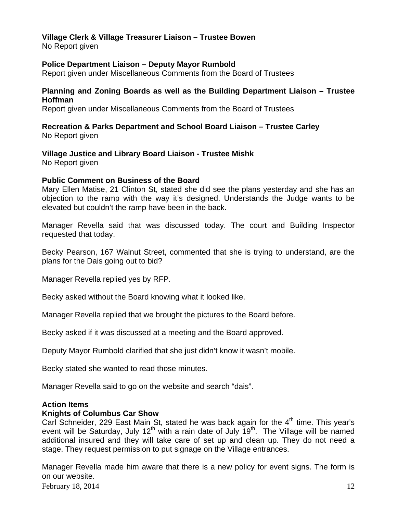# **Village Clerk & Village Treasurer Liaison – Trustee Bowen**

No Report given

# **Police Department Liaison – Deputy Mayor Rumbold**

Report given under Miscellaneous Comments from the Board of Trustees

# **Planning and Zoning Boards as well as the Building Department Liaison – Trustee Hoffman**

Report given under Miscellaneous Comments from the Board of Trustees

## **Recreation & Parks Department and School Board Liaison – Trustee Carley**  No Report given

**Village Justice and Library Board Liaison - Trustee Mishk**  No Report given

## **Public Comment on Business of the Board**

Mary Ellen Matise, 21 Clinton St, stated she did see the plans yesterday and she has an objection to the ramp with the way it's designed. Understands the Judge wants to be elevated but couldn't the ramp have been in the back.

Manager Revella said that was discussed today. The court and Building Inspector requested that today.

Becky Pearson, 167 Walnut Street, commented that she is trying to understand, are the plans for the Dais going out to bid?

Manager Revella replied yes by RFP.

Becky asked without the Board knowing what it looked like.

Manager Revella replied that we brought the pictures to the Board before.

Becky asked if it was discussed at a meeting and the Board approved.

Deputy Mayor Rumbold clarified that she just didn't know it wasn't mobile.

Becky stated she wanted to read those minutes.

Manager Revella said to go on the website and search "dais".

# **Action Items**

### **Knights of Columbus Car Show**

Carl Schneider, 229 East Main St, stated he was back again for the  $4<sup>th</sup>$  time. This year's event will be Saturday, July  $12<sup>th</sup>$  with a rain date of July  $19<sup>th</sup>$ . The Village will be named additional insured and they will take care of set up and clean up. They do not need a stage. They request permission to put signage on the Village entrances.

Manager Revella made him aware that there is a new policy for event signs. The form is on our website.

February 18, 2014  $\frac{12}{2}$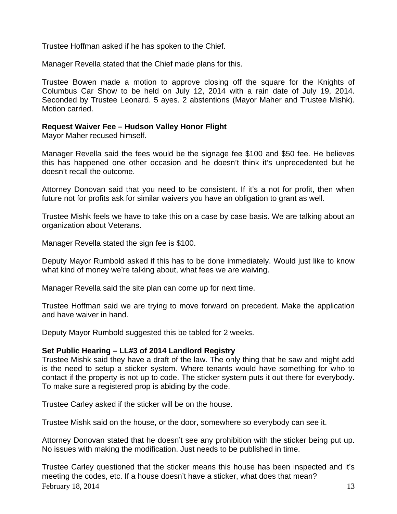Trustee Hoffman asked if he has spoken to the Chief.

Manager Revella stated that the Chief made plans for this.

Trustee Bowen made a motion to approve closing off the square for the Knights of Columbus Car Show to be held on July 12, 2014 with a rain date of July 19, 2014. Seconded by Trustee Leonard. 5 ayes. 2 abstentions (Mayor Maher and Trustee Mishk). Motion carried.

## **Request Waiver Fee – Hudson Valley Honor Flight**

Mayor Maher recused himself.

Manager Revella said the fees would be the signage fee \$100 and \$50 fee. He believes this has happened one other occasion and he doesn't think it's unprecedented but he doesn't recall the outcome.

Attorney Donovan said that you need to be consistent. If it's a not for profit, then when future not for profits ask for similar waivers you have an obligation to grant as well.

Trustee Mishk feels we have to take this on a case by case basis. We are talking about an organization about Veterans.

Manager Revella stated the sign fee is \$100.

Deputy Mayor Rumbold asked if this has to be done immediately. Would just like to know what kind of money we're talking about, what fees we are waiving.

Manager Revella said the site plan can come up for next time.

Trustee Hoffman said we are trying to move forward on precedent. Make the application and have waiver in hand.

Deputy Mayor Rumbold suggested this be tabled for 2 weeks.

### **Set Public Hearing – LL#3 of 2014 Landlord Registry**

Trustee Mishk said they have a draft of the law. The only thing that he saw and might add is the need to setup a sticker system. Where tenants would have something for who to contact if the property is not up to code. The sticker system puts it out there for everybody. To make sure a registered prop is abiding by the code.

Trustee Carley asked if the sticker will be on the house.

Trustee Mishk said on the house, or the door, somewhere so everybody can see it.

Attorney Donovan stated that he doesn't see any prohibition with the sticker being put up. No issues with making the modification. Just needs to be published in time.

February 18, 2014  $\hspace{1.5cm}$  13 Trustee Carley questioned that the sticker means this house has been inspected and it's meeting the codes, etc. If a house doesn't have a sticker, what does that mean?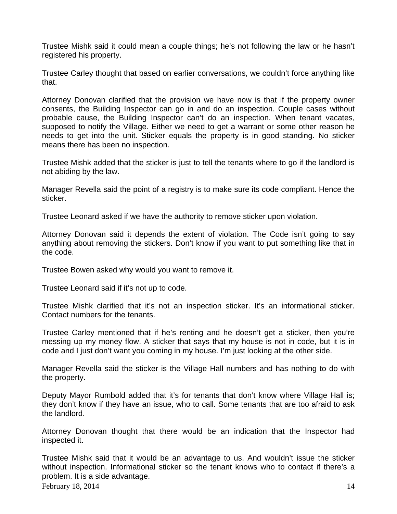Trustee Mishk said it could mean a couple things; he's not following the law or he hasn't registered his property.

Trustee Carley thought that based on earlier conversations, we couldn't force anything like that.

Attorney Donovan clarified that the provision we have now is that if the property owner consents, the Building Inspector can go in and do an inspection. Couple cases without probable cause, the Building Inspector can't do an inspection. When tenant vacates, supposed to notify the Village. Either we need to get a warrant or some other reason he needs to get into the unit. Sticker equals the property is in good standing. No sticker means there has been no inspection.

Trustee Mishk added that the sticker is just to tell the tenants where to go if the landlord is not abiding by the law.

Manager Revella said the point of a registry is to make sure its code compliant. Hence the sticker.

Trustee Leonard asked if we have the authority to remove sticker upon violation.

Attorney Donovan said it depends the extent of violation. The Code isn't going to say anything about removing the stickers. Don't know if you want to put something like that in the code.

Trustee Bowen asked why would you want to remove it.

Trustee Leonard said if it's not up to code.

Trustee Mishk clarified that it's not an inspection sticker. It's an informational sticker. Contact numbers for the tenants.

Trustee Carley mentioned that if he's renting and he doesn't get a sticker, then you're messing up my money flow. A sticker that says that my house is not in code, but it is in code and I just don't want you coming in my house. I'm just looking at the other side.

Manager Revella said the sticker is the Village Hall numbers and has nothing to do with the property.

Deputy Mayor Rumbold added that it's for tenants that don't know where Village Hall is; they don't know if they have an issue, who to call. Some tenants that are too afraid to ask the landlord.

Attorney Donovan thought that there would be an indication that the Inspector had inspected it.

February 18, 2014  $\frac{14}{14}$ Trustee Mishk said that it would be an advantage to us. And wouldn't issue the sticker without inspection. Informational sticker so the tenant knows who to contact if there's a problem. It is a side advantage.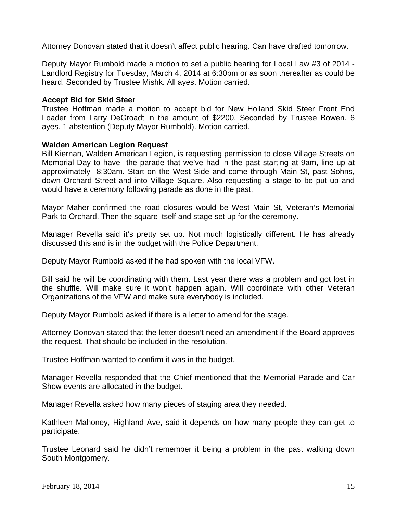Attorney Donovan stated that it doesn't affect public hearing. Can have drafted tomorrow.

Deputy Mayor Rumbold made a motion to set a public hearing for Local Law #3 of 2014 - Landlord Registry for Tuesday, March 4, 2014 at 6:30pm or as soon thereafter as could be heard. Seconded by Trustee Mishk. All ayes. Motion carried.

## **Accept Bid for Skid Steer**

Trustee Hoffman made a motion to accept bid for New Holland Skid Steer Front End Loader from Larry DeGroadt in the amount of \$2200. Seconded by Trustee Bowen. 6 ayes. 1 abstention (Deputy Mayor Rumbold). Motion carried.

### **Walden American Legion Request**

Bill Kiernan, Walden American Legion, is requesting permission to close Village Streets on Memorial Day to have the parade that we've had in the past starting at 9am, line up at approximately 8:30am. Start on the West Side and come through Main St, past Sohns, down Orchard Street and into Village Square. Also requesting a stage to be put up and would have a ceremony following parade as done in the past.

Mayor Maher confirmed the road closures would be West Main St, Veteran's Memorial Park to Orchard. Then the square itself and stage set up for the ceremony.

Manager Revella said it's pretty set up. Not much logistically different. He has already discussed this and is in the budget with the Police Department.

Deputy Mayor Rumbold asked if he had spoken with the local VFW.

Bill said he will be coordinating with them. Last year there was a problem and got lost in the shuffle. Will make sure it won't happen again. Will coordinate with other Veteran Organizations of the VFW and make sure everybody is included.

Deputy Mayor Rumbold asked if there is a letter to amend for the stage.

Attorney Donovan stated that the letter doesn't need an amendment if the Board approves the request. That should be included in the resolution.

Trustee Hoffman wanted to confirm it was in the budget.

Manager Revella responded that the Chief mentioned that the Memorial Parade and Car Show events are allocated in the budget.

Manager Revella asked how many pieces of staging area they needed.

Kathleen Mahoney, Highland Ave, said it depends on how many people they can get to participate.

Trustee Leonard said he didn't remember it being a problem in the past walking down South Montgomery.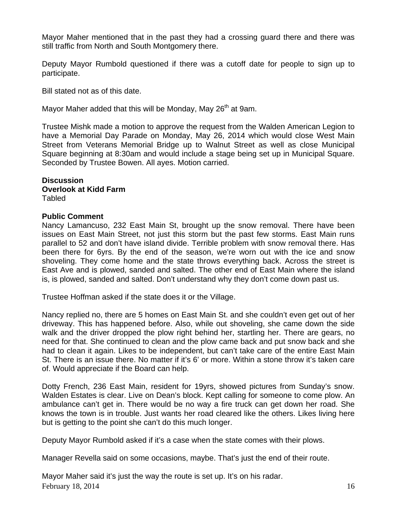Mayor Maher mentioned that in the past they had a crossing guard there and there was still traffic from North and South Montgomery there.

Deputy Mayor Rumbold questioned if there was a cutoff date for people to sign up to participate.

Bill stated not as of this date.

Mayor Maher added that this will be Monday, May 26<sup>th</sup> at 9am.

Trustee Mishk made a motion to approve the request from the Walden American Legion to have a Memorial Day Parade on Monday, May 26, 2014 which would close West Main Street from Veterans Memorial Bridge up to Walnut Street as well as close Municipal Square beginning at 8:30am and would include a stage being set up in Municipal Square. Seconded by Trustee Bowen. All ayes. Motion carried.

#### **Discussion Overlook at Kidd Farm**  Tabled

### **Public Comment**

Nancy Lamancuso, 232 East Main St, brought up the snow removal. There have been issues on East Main Street, not just this storm but the past few storms. East Main runs parallel to 52 and don't have island divide. Terrible problem with snow removal there. Has been there for 6yrs. By the end of the season, we're worn out with the ice and snow shoveling. They come home and the state throws everything back. Across the street is East Ave and is plowed, sanded and salted. The other end of East Main where the island is, is plowed, sanded and salted. Don't understand why they don't come down past us.

Trustee Hoffman asked if the state does it or the Village.

Nancy replied no, there are 5 homes on East Main St. and she couldn't even get out of her driveway. This has happened before. Also, while out shoveling, she came down the side walk and the driver dropped the plow right behind her, startling her. There are gears, no need for that. She continued to clean and the plow came back and put snow back and she had to clean it again. Likes to be independent, but can't take care of the entire East Main St. There is an issue there. No matter if it's 6' or more. Within a stone throw it's taken care of. Would appreciate if the Board can help.

Dotty French, 236 East Main, resident for 19yrs, showed pictures from Sunday's snow. Walden Estates is clear. Live on Dean's block. Kept calling for someone to come plow. An ambulance can't get in. There would be no way a fire truck can get down her road. She knows the town is in trouble. Just wants her road cleared like the others. Likes living here but is getting to the point she can't do this much longer.

Deputy Mayor Rumbold asked if it's a case when the state comes with their plows.

Manager Revella said on some occasions, maybe. That's just the end of their route.

February 18, 2014  $\frac{16}{16}$ Mayor Maher said it's just the way the route is set up. It's on his radar.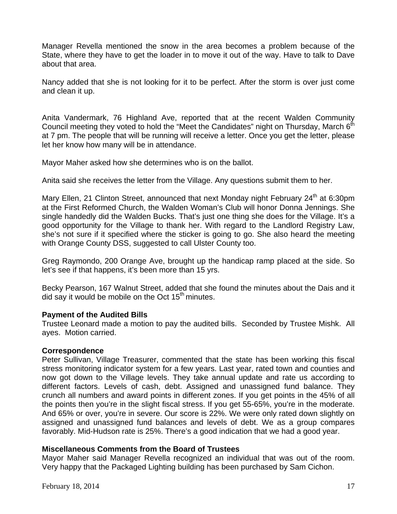Manager Revella mentioned the snow in the area becomes a problem because of the State, where they have to get the loader in to move it out of the way. Have to talk to Dave about that area.

Nancy added that she is not looking for it to be perfect. After the storm is over just come and clean it up.

Anita Vandermark, 76 Highland Ave, reported that at the recent Walden Community Council meeting they voted to hold the "Meet the Candidates" night on Thursday, March  $6<sup>th</sup>$ at 7 pm. The people that will be running will receive a letter. Once you get the letter, please let her know how many will be in attendance.

Mayor Maher asked how she determines who is on the ballot.

Anita said she receives the letter from the Village. Any questions submit them to her.

Mary Ellen, 21 Clinton Street, announced that next Monday night February 24<sup>th</sup> at 6:30pm at the First Reformed Church, the Walden Woman's Club will honor Donna Jennings. She single handedly did the Walden Bucks. That's just one thing she does for the Village. It's a good opportunity for the Village to thank her. With regard to the Landlord Registry Law, she's not sure if it specified where the sticker is going to go. She also heard the meeting with Orange County DSS, suggested to call Ulster County too.

Greg Raymondo, 200 Orange Ave, brought up the handicap ramp placed at the side. So let's see if that happens, it's been more than 15 yrs.

Becky Pearson, 167 Walnut Street, added that she found the minutes about the Dais and it did say it would be mobile on the Oct  $15<sup>th</sup>$  minutes.

# **Payment of the Audited Bills**

Trustee Leonard made a motion to pay the audited bills. Seconded by Trustee Mishk. All ayes. Motion carried.

# **Correspondence**

Peter Sullivan, Village Treasurer, commented that the state has been working this fiscal stress monitoring indicator system for a few years. Last year, rated town and counties and now got down to the Village levels. They take annual update and rate us according to different factors. Levels of cash, debt. Assigned and unassigned fund balance. They crunch all numbers and award points in different zones. If you get points in the 45% of all the points then you're in the slight fiscal stress. If you get 55-65%, you're in the moderate. And 65% or over, you're in severe. Our score is 22%. We were only rated down slightly on assigned and unassigned fund balances and levels of debt. We as a group compares favorably. Mid-Hudson rate is 25%. There's a good indication that we had a good year.

# **Miscellaneous Comments from the Board of Trustees**

Mayor Maher said Manager Revella recognized an individual that was out of the room. Very happy that the Packaged Lighting building has been purchased by Sam Cichon.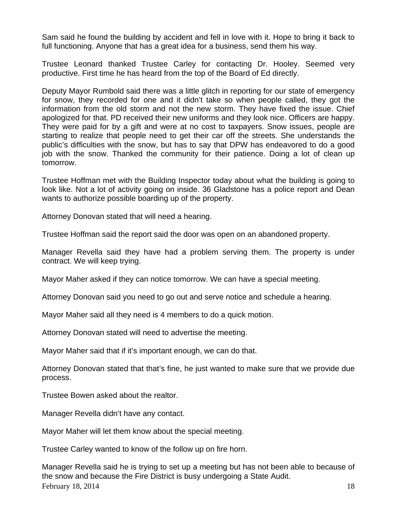Sam said he found the building by accident and fell in love with it. Hope to bring it back to full functioning. Anyone that has a great idea for a business, send them his way.

Trustee Leonard thanked Trustee Carley for contacting Dr. Hooley. Seemed very productive. First time he has heard from the top of the Board of Ed directly.

Deputy Mayor Rumbold said there was a little glitch in reporting for our state of emergency for snow, they recorded for one and it didn't take so when people called, they got the information from the old storm and not the new storm. They have fixed the issue. Chief apologized for that. PD received their new uniforms and they look nice. Officers are happy. They were paid for by a gift and were at no cost to taxpayers. Snow issues, people are starting to realize that people need to get their car off the streets. She understands the public's difficulties with the snow, but has to say that DPW has endeavored to do a good job with the snow. Thanked the community for their patience. Doing a lot of clean up tomorrow.

Trustee Hoffman met with the Building Inspector today about what the building is going to look like. Not a lot of activity going on inside. 36 Gladstone has a police report and Dean wants to authorize possible boarding up of the property.

Attorney Donovan stated that will need a hearing.

Trustee Hoffman said the report said the door was open on an abandoned property.

Manager Revella said they have had a problem serving them. The property is under contract. We will keep trying.

Mayor Maher asked if they can notice tomorrow. We can have a special meeting.

Attorney Donovan said you need to go out and serve notice and schedule a hearing.

Mayor Maher said all they need is 4 members to do a quick motion.

Attorney Donovan stated will need to advertise the meeting.

Mayor Maher said that if it's important enough, we can do that.

Attorney Donovan stated that that's fine, he just wanted to make sure that we provide due process.

Trustee Bowen asked about the realtor.

Manager Revella didn't have any contact.

Mayor Maher will let them know about the special meeting.

Trustee Carley wanted to know of the follow up on fire horn.

February 18, 2014  $\frac{18}{200}$ Manager Revella said he is trying to set up a meeting but has not been able to because of the snow and because the Fire District is busy undergoing a State Audit.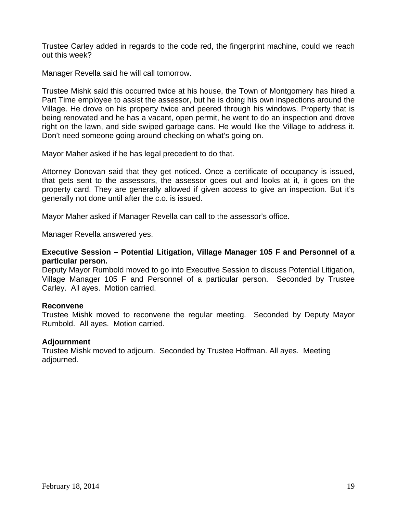Trustee Carley added in regards to the code red, the fingerprint machine, could we reach out this week?

Manager Revella said he will call tomorrow.

Trustee Mishk said this occurred twice at his house, the Town of Montgomery has hired a Part Time employee to assist the assessor, but he is doing his own inspections around the Village. He drove on his property twice and peered through his windows. Property that is being renovated and he has a vacant, open permit, he went to do an inspection and drove right on the lawn, and side swiped garbage cans. He would like the Village to address it. Don't need someone going around checking on what's going on.

Mayor Maher asked if he has legal precedent to do that.

Attorney Donovan said that they get noticed. Once a certificate of occupancy is issued, that gets sent to the assessors, the assessor goes out and looks at it, it goes on the property card. They are generally allowed if given access to give an inspection. But it's generally not done until after the c.o. is issued.

Mayor Maher asked if Manager Revella can call to the assessor's office.

Manager Revella answered yes.

### **Executive Session – Potential Litigation, Village Manager 105 F and Personnel of a particular person.**

Deputy Mayor Rumbold moved to go into Executive Session to discuss Potential Litigation, Village Manager 105 F and Personnel of a particular person. Seconded by Trustee Carley. All ayes. Motion carried.

### **Reconvene**

Trustee Mishk moved to reconvene the regular meeting. Seconded by Deputy Mayor Rumbold. All ayes. Motion carried.

### **Adjournment**

Trustee Mishk moved to adjourn. Seconded by Trustee Hoffman. All ayes. Meeting adjourned.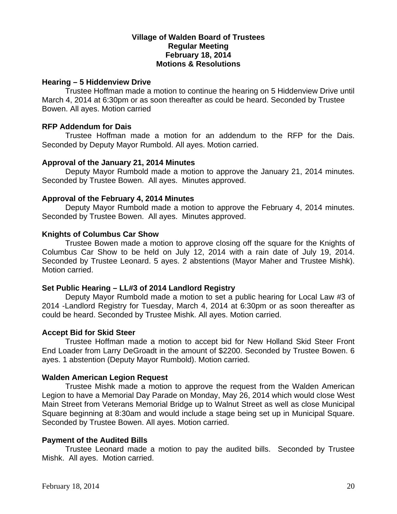# **Village of Walden Board of Trustees Regular Meeting February 18, 2014 Motions & Resolutions**

### **Hearing – 5 Hiddenview Drive**

Trustee Hoffman made a motion to continue the hearing on 5 Hiddenview Drive until March 4, 2014 at 6:30pm or as soon thereafter as could be heard. Seconded by Trustee Bowen. All ayes. Motion carried

### **RFP Addendum for Dais**

Trustee Hoffman made a motion for an addendum to the RFP for the Dais. Seconded by Deputy Mayor Rumbold. All ayes. Motion carried.

## **Approval of the January 21, 2014 Minutes**

Deputy Mayor Rumbold made a motion to approve the January 21, 2014 minutes. Seconded by Trustee Bowen. All ayes. Minutes approved.

## **Approval of the February 4, 2014 Minutes**

Deputy Mayor Rumbold made a motion to approve the February 4, 2014 minutes. Seconded by Trustee Bowen. All ayes. Minutes approved.

## **Knights of Columbus Car Show**

Trustee Bowen made a motion to approve closing off the square for the Knights of Columbus Car Show to be held on July 12, 2014 with a rain date of July 19, 2014. Seconded by Trustee Leonard. 5 ayes. 2 abstentions (Mayor Maher and Trustee Mishk). Motion carried.

### **Set Public Hearing – LL#3 of 2014 Landlord Registry**

Deputy Mayor Rumbold made a motion to set a public hearing for Local Law #3 of 2014 -Landlord Registry for Tuesday, March 4, 2014 at 6:30pm or as soon thereafter as could be heard. Seconded by Trustee Mishk. All ayes. Motion carried.

### **Accept Bid for Skid Steer**

Trustee Hoffman made a motion to accept bid for New Holland Skid Steer Front End Loader from Larry DeGroadt in the amount of \$2200. Seconded by Trustee Bowen. 6 ayes. 1 abstention (Deputy Mayor Rumbold). Motion carried.

# **Walden American Legion Request**

Trustee Mishk made a motion to approve the request from the Walden American Legion to have a Memorial Day Parade on Monday, May 26, 2014 which would close West Main Street from Veterans Memorial Bridge up to Walnut Street as well as close Municipal Square beginning at 8:30am and would include a stage being set up in Municipal Square. Seconded by Trustee Bowen. All ayes. Motion carried.

### **Payment of the Audited Bills**

Trustee Leonard made a motion to pay the audited bills. Seconded by Trustee Mishk. All ayes. Motion carried.